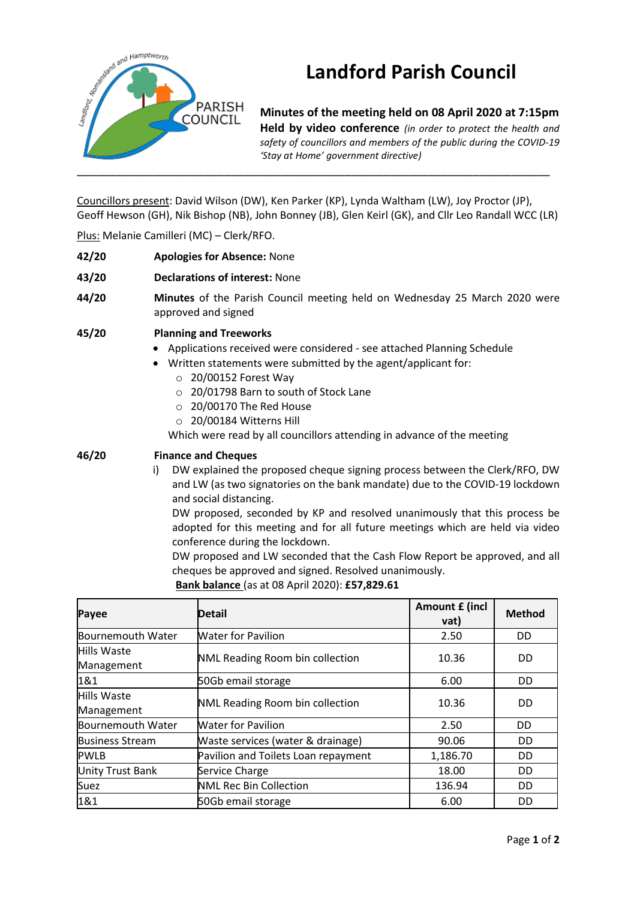

## **Landford Parish Council**

**Minutes of the meeting held on 08 April 2020 at 7:15pm Held by video conference** *(in order to protect the health and safety of councillors and members of the public during the COVID-19 'Stay at Home' government directive)* 

Councillors present: David Wilson (DW), Ken Parker (KP), Lynda Waltham (LW), Joy Proctor (JP), Geoff Hewson (GH), Nik Bishop (NB), John Bonney (JB), Glen Keirl (GK), and Cllr Leo Randall WCC (LR)

Plus: Melanie Camilleri (MC) – Clerk/RFO.

- **42/20 Apologies for Absence:** None
- **43/20 Declarations of interest:** None
- **44/20 Minutes** of the Parish Council meeting held on Wednesday 25 March 2020 were approved and signed

**45/20 Planning and Treeworks**

- Applications received were considered see attached Planning Schedule
- Written statements were submitted by the agent/applicant for:
	- o 20/00152 Forest Way
	- o 20/01798 Barn to south of Stock Lane
	- o 20/00170 The Red House
	- o 20/00184 Witterns Hill

Which were read by all councillors attending in advance of the meeting

## **46/20 Finance and Cheques**

i) DW explained the proposed cheque signing process between the Clerk/RFO, DW and LW (as two signatories on the bank mandate) due to the COVID-19 lockdown and social distancing.

DW proposed, seconded by KP and resolved unanimously that this process be adopted for this meeting and for all future meetings which are held via video conference during the lockdown.

DW proposed and LW seconded that the Cash Flow Report be approved, and all cheques be approved and signed. Resolved unanimously.

**Bank balance** (as at 08 April 2020): **£57,829.61**

| Payee                            | <b>Detail</b>                       | Amount £ (incl<br>vat) | <b>Method</b> |
|----------------------------------|-------------------------------------|------------------------|---------------|
| Bournemouth Water                | <b>Water for Pavilion</b>           | 2.50                   | DD            |
| Hills Waste<br>Management        | NML Reading Room bin collection     | 10.36                  | <b>DD</b>     |
| 1&1                              | 50Gb email storage                  | 6.00                   | <b>DD</b>     |
| <b>Hills Waste</b><br>Management | NML Reading Room bin collection     | 10.36                  | DD            |
| Bournemouth Water                | <b>Water for Pavilion</b>           | 2.50                   | DD            |
| <b>Business Stream</b>           | Waste services (water & drainage)   | 90.06                  | <b>DD</b>     |
| <b>PWLB</b>                      | Pavilion and Toilets Loan repayment | 1,186.70               | <b>DD</b>     |
| <b>Unity Trust Bank</b>          | Service Charge                      | 18.00                  | DD            |
| Suez                             | NML Rec Bin Collection              | 136.94                 | <b>DD</b>     |
| 1&1                              | 50Gb email storage                  | 6.00                   | DD            |